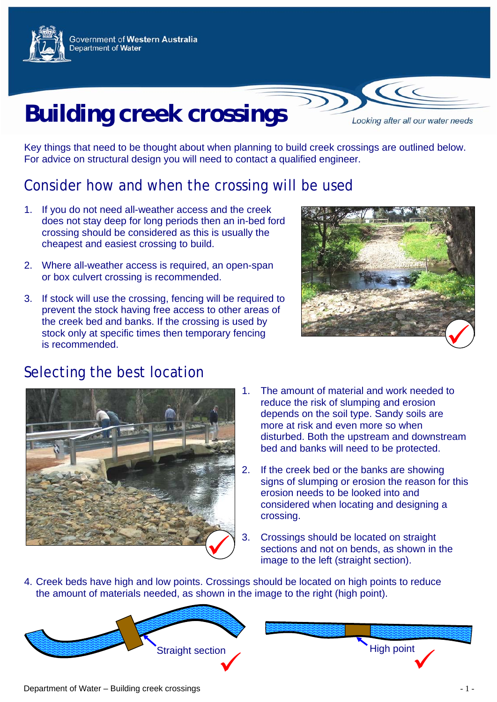

Government of Western Australia Department of Water

# **Building creek crossings**

Looking after all our water needs

Key things that need to be thought about when planning to build creek crossings are outlined below. For advice on structural design you will need to contact a qualified engineer.

### Consider how and when the crossing will be used

- 1. If you do not need all-weather access and the creek does not stay deep for long periods then an in-bed ford crossing should be considered as this is usually the cheapest and easiest crossing to build.
- 2. Where all-weather access is required, an open-span or box culvert crossing is recommended.
- 3. If stock will use the crossing, fencing will be required to prevent the stock having free access to other areas of the creek bed and banks. If the crossing is used by stock only at specific times then temporary fencing is recommended.



#### Selecting the best location



- 1. The amount of material and work needed to reduce the risk of slumping and erosion depends on the soil type. Sandy soils are more at risk and even more so when disturbed. Both the upstream and downstream bed and banks will need to be protected.
- 2. If the creek bed or the banks are showing signs of slumping or erosion the reason for this erosion needs to be looked into and considered when locating and designing a crossing.
- 3. Crossings should be located on straight sections and not on bends, as shown in the image to the left (straight section).
- 4. Creek beds have high and low points. Crossings should be located on high points to reduce the amount of materials needed, as shown in the image to the right (high point).